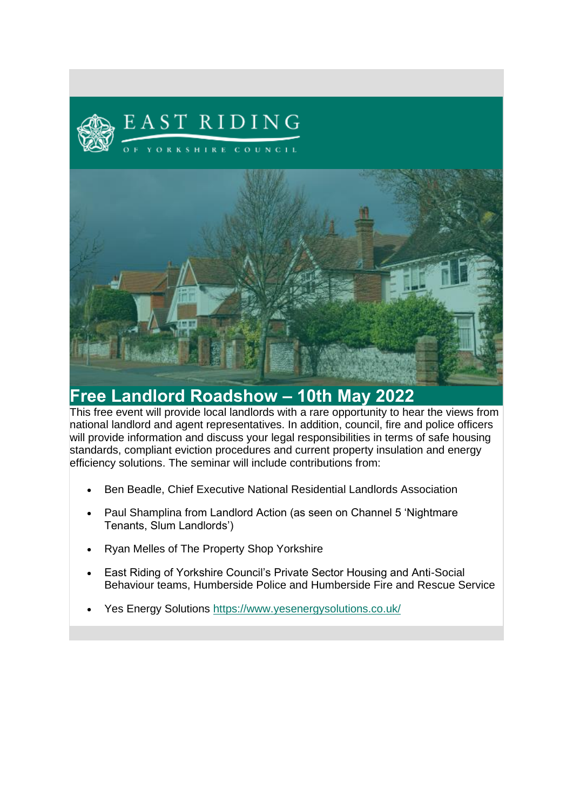



## **Free Landlord Roadshow – 10th May 2022**

This free event will provide local landlords with a rare opportunity to hear the views from national landlord and agent representatives. In addition, council, fire and police officers will provide information and discuss your legal responsibilities in terms of safe housing standards, compliant eviction procedures and current property insulation and energy efficiency solutions. The seminar will include contributions from:

- Ben Beadle, Chief Executive National Residential Landlords Association
- Paul Shamplina from Landlord Action (as seen on Channel 5 'Nightmare Tenants, Slum Landlords')
- Ryan Melles of The Property Shop Yorkshire
- East Riding of Yorkshire Council's Private Sector Housing and Anti-Social Behaviour teams, Humberside Police and Humberside Fire and Rescue Service
- Yes Energy Solutions [https://www.yesenergysolutions.co.uk/](https://eur01.safelinks.protection.outlook.com/?url=https%3A%2F%2Fwww.yesenergysolutions.co.uk%2F&data=04%7C01%7CThomas.Hickling%40eastriding.gov.uk%7C9c77e701deb74a50493708da1c66922e%7C351368d19b5a4c8bac76f39b4c7dd76c%7C1%7C0%7C637853524098576073%7CUnknown%7CTWFpbGZsb3d8eyJWIjoiMC4wLjAwMDAiLCJQIjoiV2luMzIiLCJBTiI6Ik1haWwiLCJXVCI6Mn0%3D%7C3000&sdata=4pS7DDHFFnLNf%2F%2FiL6twlCIhZXaIpNrj0LBBMLzBloc%3D&reserved=0)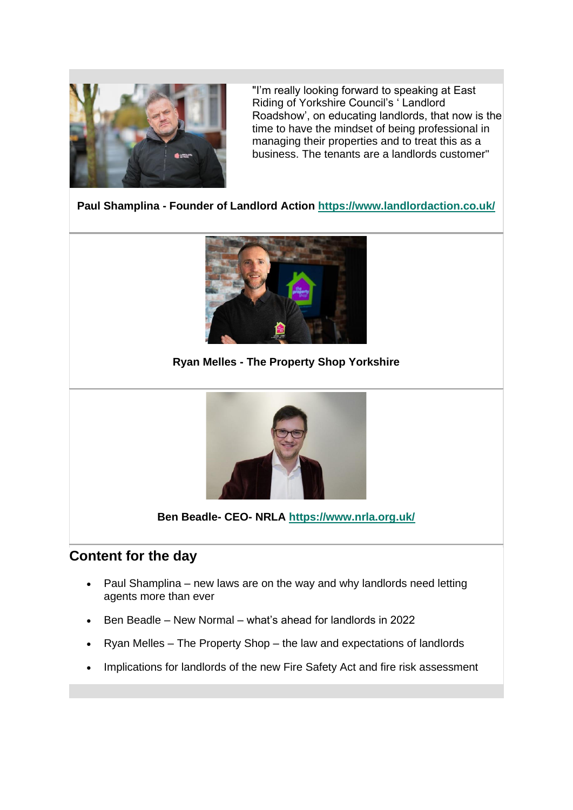

"I'm really looking forward to speaking at East Riding of Yorkshire Council's ' Landlord Roadshow', on educating landlords, that now is the time to have the mindset of being professional in managing their properties and to treat this as a business. The tenants are a landlords customer"

**Paul Shamplina - Founder of Landlord Action [https://www.landlordaction.co.uk/](https://eur01.safelinks.protection.outlook.com/?url=https%3A%2F%2Fwww.landlordaction.co.uk%2F&data=04%7C01%7CThomas.Hickling%40eastriding.gov.uk%7C9c77e701deb74a50493708da1c66922e%7C351368d19b5a4c8bac76f39b4c7dd76c%7C1%7C0%7C637853524098576073%7CUnknown%7CTWFpbGZsb3d8eyJWIjoiMC4wLjAwMDAiLCJQIjoiV2luMzIiLCJBTiI6Ik1haWwiLCJXVCI6Mn0%3D%7C3000&sdata=h1xkvHb90CwzkjxOXGLRPupGGE%2Ff0MC4OPrRg0xSX1U%3D&reserved=0)**



**Ryan Melles - The Property Shop Yorkshire**



**Ben Beadle- CEO- NRLA [https://www.nrla.org.uk/](https://eur01.safelinks.protection.outlook.com/?url=https%3A%2F%2Fwww.nrla.org.uk%2F&data=04%7C01%7CThomas.Hickling%40eastriding.gov.uk%7C9c77e701deb74a50493708da1c66922e%7C351368d19b5a4c8bac76f39b4c7dd76c%7C1%7C0%7C637853524098576073%7CUnknown%7CTWFpbGZsb3d8eyJWIjoiMC4wLjAwMDAiLCJQIjoiV2luMzIiLCJBTiI6Ik1haWwiLCJXVCI6Mn0%3D%7C3000&sdata=TBMrrLP%2BY0yYCfmKHRzu21rPyHweDIDUBwGaeLdSk7k%3D&reserved=0)**

## **Content for the day**

- Paul Shamplina new laws are on the way and why landlords need letting agents more than ever
- Ben Beadle New Normal what's ahead for landlords in 2022
- Ryan Melles The Property Shop the law and expectations of landlords
- Implications for landlords of the new Fire Safety Act and fire risk assessment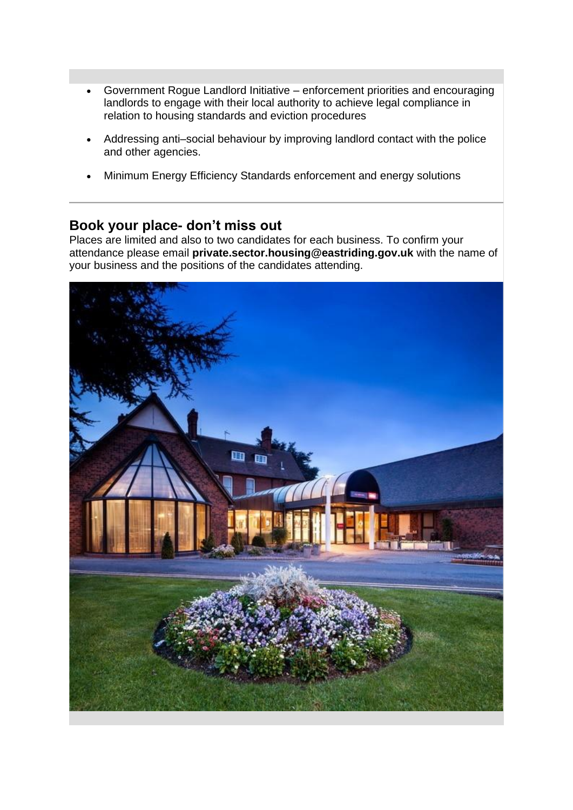- Government Rogue Landlord Initiative enforcement priorities and encouraging landlords to engage with their local authority to achieve legal compliance in relation to housing standards and eviction procedures
- Addressing anti–social behaviour by improving landlord contact with the police and other agencies.
- Minimum Energy Efficiency Standards enforcement and energy solutions

## **Book your place- don't miss out**

Places are limited and also to two candidates for each business. To confirm your attendance please email **private.sector.housing@eastriding.gov.uk** with the name of your business and the positions of the candidates attending.